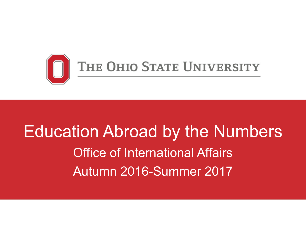

# Education Abroad by the Numbers Office of International Affairs Autumn 2016-Summer 2017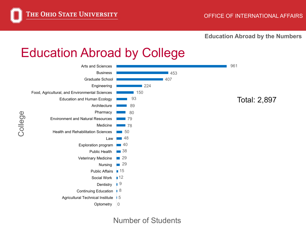College

**Education Abroad by the Numbers**

#### Education Abroad by College



#### Number of Students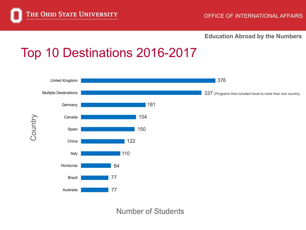

## Top 10 Destinations 2016-2017



Number of Students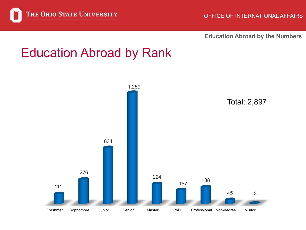

#### Education Abroad by Rank

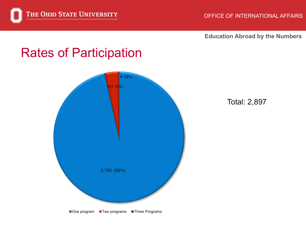

#### Rates of Participation



Total: 2,897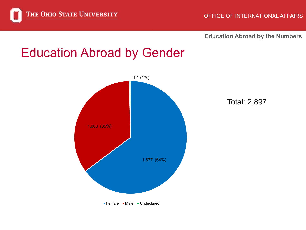

#### Education Abroad by Gender



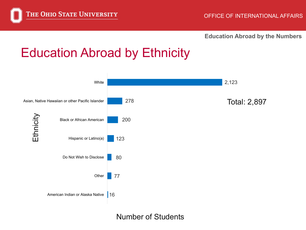

### Education Abroad by Ethnicity



Number of Students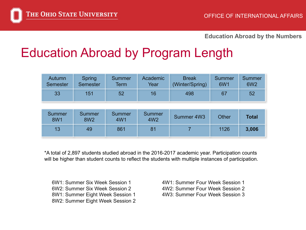#### Education Abroad by Program Length

| Autumn<br><b>Semester</b> | Spring<br><b>Semester</b> | <b>Summer</b><br>Term | Academic<br>Year          | <b>Break</b><br>(Winter/Spring) | Summer<br>6W1 | <b>Summer</b><br><b>6W2</b> |
|---------------------------|---------------------------|-----------------------|---------------------------|---------------------------------|---------------|-----------------------------|
| 33                        | 151                       | 52                    | 16                        | 498                             | 67            | 52                          |
|                           |                           |                       |                           |                                 |               |                             |
| Summer<br><b>8W1</b>      | Summer<br><b>8W2</b>      | Summer<br>4W1         | Summer<br>4W <sub>2</sub> | Summer 4W3                      | <b>Other</b>  | <b>Total</b>                |
| 13                        | 49                        | 861                   | 81                        |                                 | 1126          | 3,006                       |

\*A total of 2,897 students studied abroad in the 2016-2017 academic year. Participation counts will be higher than student counts to reflect the students with multiple instances of participation.

6W1: Summer Six Week Session 1 6W2: Summer Six Week Session 2 8W1: Summer Eight Week Session 1 8W2: Summer Eight Week Session 2 4W1: Summer Four Week Session 1 4W2: Summer Four Week Session 2 4W3: Summer Four Week Session 3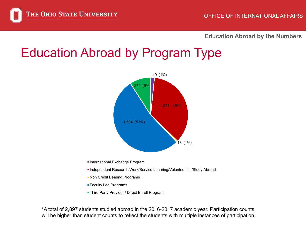#### Education Abroad by Program Type



- International Exchange Program
- Independent Research/Work/Service Learning/Volunteerism/Study Abroad
- **Non Credit Bearing Programs**
- Faculty Led Programs
- **Third Party Provider / Direct Enroll Program**

\*A total of 2,897 students studied abroad in the 2016-2017 academic year. Participation counts will be higher than student counts to reflect the students with multiple instances of participation.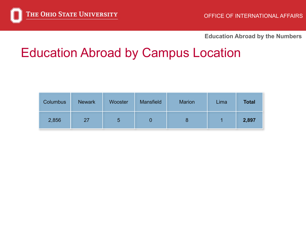### Education Abroad by Campus Location

| <b>Columbus</b> | <b>Newark</b> | Wooster | <b>Mansfield</b> | <b>Marion</b> | Lima | <b>Total</b> |
|-----------------|---------------|---------|------------------|---------------|------|--------------|
| 2,856           | 27            | 5       |                  |               |      | 2,897        |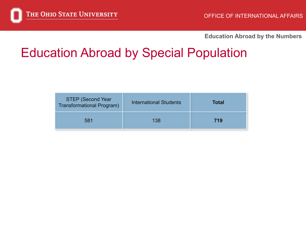### Education Abroad by Special Population

| <b>STEP (Second Year</b><br>Transformational Program) | <b>International Students</b> | <b>Total</b> |  |
|-------------------------------------------------------|-------------------------------|--------------|--|
| 581                                                   | 138                           | 719          |  |